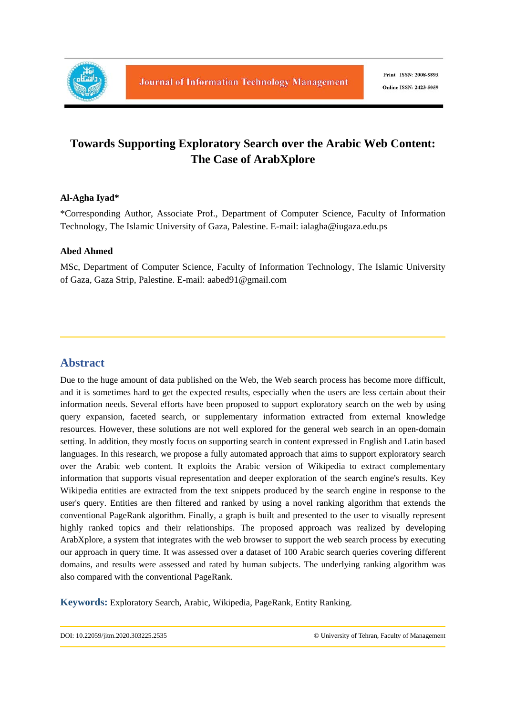

# **Towards Supporting Exploratory Search over the Arabic Web Content: The Case of ArabXplore**

## **Al-Agha Iyad\***

\*Corresponding Author, Associate Prof., Department of Computer Science, Faculty of Information Technology, The Islamic University of Gaza, Palestine. E-mail: ialagha@iugaza.edu.ps

## **Abed Ahmed**

MSc, Department of Computer Science, Faculty of Information Technology, The Islamic University of Gaza, Gaza Strip, Palestine. E-mail: aabed91@gmail.com

## **Abstract**

Due to the huge amount of data published on the Web, the Web search process has become more difficult, and it is sometimes hard to get the expected results, especially when the users are less certain about their information needs. Several efforts have been proposed to support exploratory search on the web by using query expansion, faceted search, or supplementary information extracted from external knowledge resources. However, these solutions are not well explored for the general web search in an open-domain setting. In addition, they mostly focus on supporting search in content expressed in English and Latin based languages. In this research, we propose a fully automated approach that aims to support exploratory search over the Arabic web content. It exploits the Arabic version of Wikipedia to extract complementary information that supports visual representation and deeper exploration of the search engine's results. Key Wikipedia entities are extracted from the text snippets produced by the search engine in response to the user's query. Entities are then filtered and ranked by using a novel ranking algorithm that extends the conventional PageRank algorithm. Finally, a graph is built and presented to the user to visually represent highly ranked topics and their relationships. The proposed approach was realized by developing ArabXplore, a system that integrates with the web browser to support the web search process by executing our approach in query time. It was assessed over a dataset of 100 Arabic search queries covering different domains, and results were assessed and rated by human subjects. The underlying ranking algorithm was also compared with the conventional PageRank.

**Keywords:** Exploratory Search, Arabic, Wikipedia, PageRank, Entity Ranking.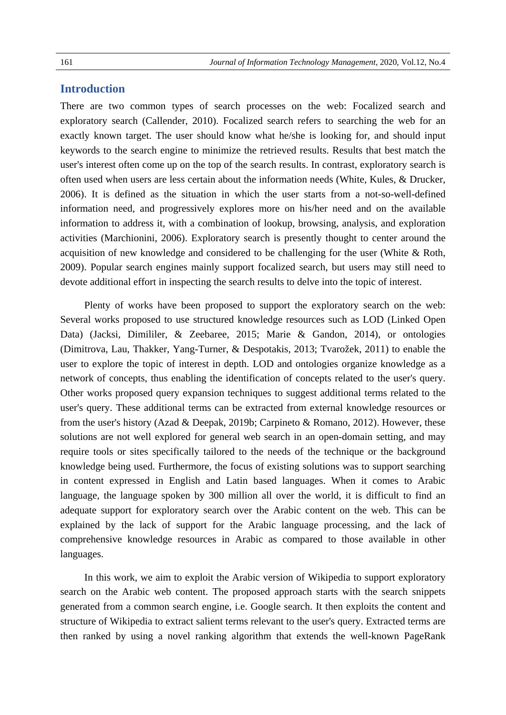## **Introduction**

There are two common types of search processes on the web: Focalized search and exploratory search (Callender, 2010). Focalized search refers to searching the web for an exactly known target. The user should know what he/she is looking for, and should input keywords to the search engine to minimize the retrieved results. Results that best match the user's interest often come up on the top of the search results. In contrast, exploratory search is often used when users are less certain about the information needs (White, Kules, & Drucker, 2006). It is defined as the situation in which the user starts from a not-so-well-defined information need, and progressively explores more on his/her need and on the available information to address it, with a combination of lookup, browsing, analysis, and exploration activities (Marchionini, 2006). Exploratory search is presently thought to center around the acquisition of new knowledge and considered to be challenging for the user (White & Roth, 2009). Popular search engines mainly support focalized search, but users may still need to devote additional effort in inspecting the search results to delve into the topic of interest.

Plenty of works have been proposed to support the exploratory search on the web: Several works proposed to use structured knowledge resources such as LOD (Linked Open Data) (Jacksi, Dimililer, & Zeebaree, 2015; Marie & Gandon, 2014), or ontologies (Dimitrova, Lau, Thakker, Yang-Turner, & Despotakis, 2013; Tvarožek, 2011) to enable the user to explore the topic of interest in depth. LOD and ontologies organize knowledge as a network of concepts, thus enabling the identification of concepts related to the user's query. Other works proposed query expansion techniques to suggest additional terms related to the user's query. These additional terms can be extracted from external knowledge resources or from the user's history (Azad & Deepak, 2019b; Carpineto & Romano, 2012). However, these solutions are not well explored for general web search in an open-domain setting, and may require tools or sites specifically tailored to the needs of the technique or the background knowledge being used. Furthermore, the focus of existing solutions was to support searching in content expressed in English and Latin based languages. When it comes to Arabic language, the language spoken by 300 million all over the world, it is difficult to find an adequate support for exploratory search over the Arabic content on the web. This can be explained by the lack of support for the Arabic language processing, and the lack of comprehensive knowledge resources in Arabic as compared to those available in other languages.

In this work, we aim to exploit the Arabic version of Wikipedia to support exploratory search on the Arabic web content. The proposed approach starts with the search snippets generated from a common search engine, i.e. Google search. It then exploits the content and structure of Wikipedia to extract salient terms relevant to the user's query. Extracted terms are then ranked by using a novel ranking algorithm that extends the well-known PageRank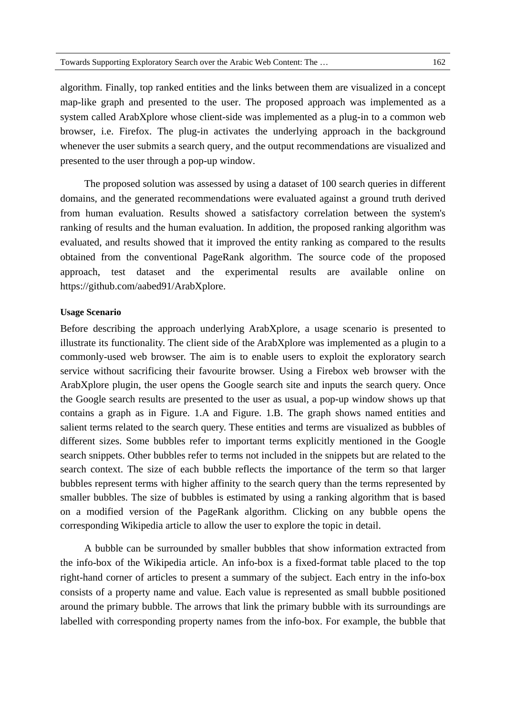presented to the user through a pop-up window.

algorithm. Finally, top ranked entities and the links between them are visualized in a concept map-like graph and presented to the user. The proposed approach was implemented as a system called ArabXplore whose client-side was implemented as a plug-in to a common web browser, i.e. Firefox. The plug-in activates the underlying approach in the background whenever the user submits a search query, and the output recommendations are visualized and

The proposed solution was assessed by using a dataset of 100 search queries in different domains, and the generated recommendations were evaluated against a ground truth derived from human evaluation. Results showed a satisfactory correlation between the system's ranking of results and the human evaluation. In addition, the proposed ranking algorithm was evaluated, and results showed that it improved the entity ranking as compared to the results obtained from the conventional PageRank algorithm. The source code of the proposed approach, test dataset and the experimental results are available online on https://github.com/aabed91/ArabXplore.

#### **Usage Scenario**

Before describing the approach underlying ArabXplore, a usage scenario is presented to illustrate its functionality. The client side of the ArabXplore was implemented as a plugin to a commonly-used web browser. The aim is to enable users to exploit the exploratory search service without sacrificing their favourite browser. Using a Firebox web browser with the ArabXplore plugin, the user opens the Google search site and inputs the search query. Once the Google search results are presented to the user as usual, a pop-up window shows up that contains a graph as in Figure. 1.A and Figure. 1.B. The graph shows named entities and salient terms related to the search query. These entities and terms are visualized as bubbles of different sizes. Some bubbles refer to important terms explicitly mentioned in the Google search snippets. Other bubbles refer to terms not included in the snippets but are related to the search context. The size of each bubble reflects the importance of the term so that larger bubbles represent terms with higher affinity to the search query than the terms represented by smaller bubbles. The size of bubbles is estimated by using a ranking algorithm that is based on a modified version of the PageRank algorithm. Clicking on any bubble opens the corresponding Wikipedia article to allow the user to explore the topic in detail.

A bubble can be surrounded by smaller bubbles that show information extracted from the info-box of the Wikipedia article. An info-box is a fixed-format table placed to the top right-hand corner of articles to present a summary of the subject. Each entry in the info-box consists of a property name and value. Each value is represented as small bubble positioned around the primary bubble. The arrows that link the primary bubble with its surroundings are labelled with corresponding property names from the info-box. For example, the bubble that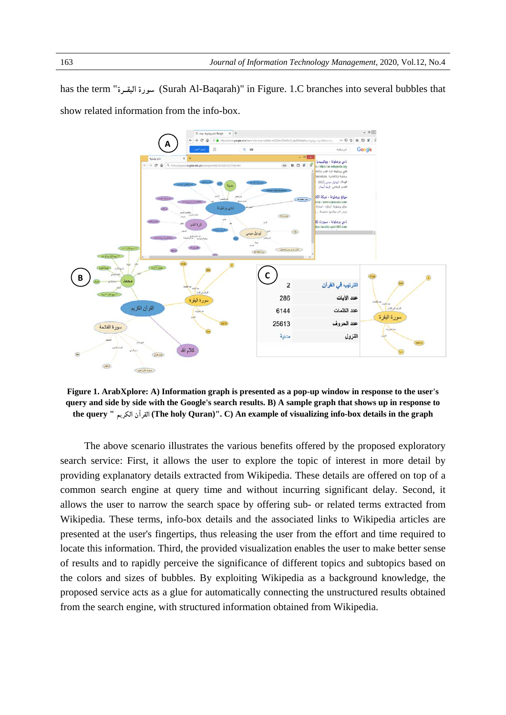has the term "**البقـرة سورة**) Surah Al-Baqarah)" in Figure. 1.C branches into several bubbles that show related information from the info-box.



**Figure 1. ArabXplore: A) Information graph is presented as a pop-up window in response to the user's query and side by side with the Google's search results. B) A sample graph that shows up in response to the query " (The holy Quran)". C) An example of الكريم القرآن visualizing info-box details in the graph** 

The above scenario illustrates the various benefits offered by the proposed exploratory search service: First, it allows the user to explore the topic of interest in more detail by providing explanatory details extracted from Wikipedia. These details are offered on top of a common search engine at query time and without incurring significant delay. Second, it allows the user to narrow the search space by offering sub- or related terms extracted from Wikipedia. These terms, info-box details and the associated links to Wikipedia articles are presented at the user's fingertips, thus releasing the user from the effort and time required to locate this information. Third, the provided visualization enables the user to make better sense of results and to rapidly perceive the significance of different topics and subtopics based on the colors and sizes of bubbles. By exploiting Wikipedia as a background knowledge, the proposed service acts as a glue for automatically connecting the unstructured results obtained from the search engine, with structured information obtained from Wikipedia.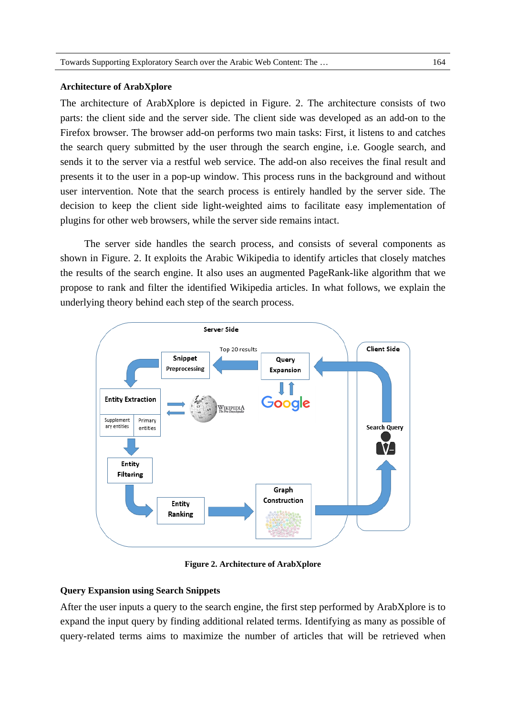#### **Architecture of ArabXplore**

The architecture of ArabXplore is depicted in Figure. 2. The architecture consists of two parts: the client side and the server side. The client side was developed as an add-on to the Firefox browser. The browser add-on performs two main tasks: First, it listens to and catches the search query submitted by the user through the search engine, i.e. Google search, and sends it to the server via a restful web service. The add-on also receives the final result and presents it to the user in a pop-up window. This process runs in the background and without user intervention. Note that the search process is entirely handled by the server side. The decision to keep the client side light-weighted aims to facilitate easy implementation of plugins for other web browsers, while the server side remains intact.

The server side handles the search process, and consists of several components as shown in Figure. 2. It exploits the Arabic Wikipedia to identify articles that closely matches the results of the search engine. It also uses an augmented PageRank-like algorithm that we propose to rank and filter the identified Wikipedia articles. In what follows, we explain the underlying theory behind each step of the search process.



**Figure 2. Architecture of ArabXplore** 

#### **Query Expansion using Search Snippets**

After the user inputs a query to the search engine, the first step performed by ArabXplore is to expand the input query by finding additional related terms. Identifying as many as possible of query-related terms aims to maximize the number of articles that will be retrieved when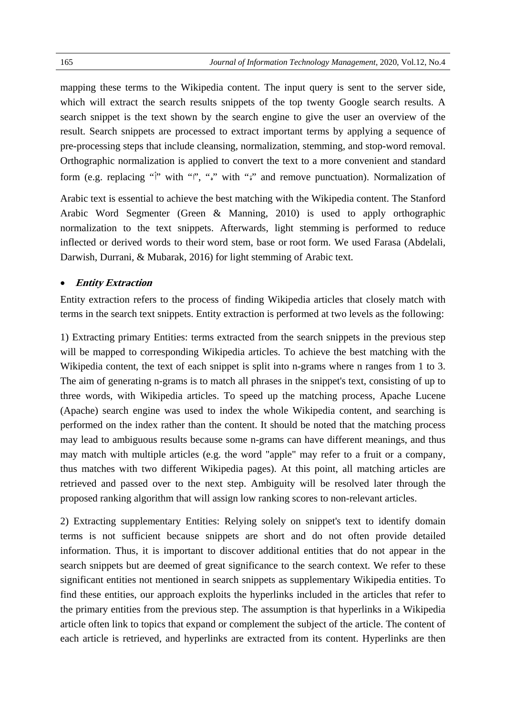mapping these terms to the Wikipedia content. The input query is sent to the server side, which will extract the search results snippets of the top twenty Google search results. A search snippet is the text shown by the search engine to give the user an overview of the result. Search snippets are processed to extract important terms by applying a sequence of pre-processing steps that include cleansing, normalization, stemming, and stop-word removal. Orthographic normalization is applied to convert the text to a more convenient and standard form (e.g. replacing " $\hat{y}$ " with "", "", "" with """ and remove punctuation). Normalization of

Arabic text is essential to achieve the best matching with the Wikipedia content. The Stanford Arabic Word Segmenter (Green & Manning, 2010) is used to apply orthographic normalization to the text snippets. Afterwards, light stemming is performed to reduce inflected or derived words to their word stem, base or root form. We used Farasa (Abdelali, Darwish, Durrani, & Mubarak, 2016) for light stemming of Arabic text.

#### **Entity Extraction**

Entity extraction refers to the process of finding Wikipedia articles that closely match with terms in the search text snippets. Entity extraction is performed at two levels as the following:

1) Extracting primary Entities: terms extracted from the search snippets in the previous step will be mapped to corresponding Wikipedia articles. To achieve the best matching with the Wikipedia content, the text of each snippet is split into n-grams where n ranges from 1 to 3. The aim of generating n-grams is to match all phrases in the snippet's text, consisting of up to three words, with Wikipedia articles. To speed up the matching process, Apache Lucene (Apache) search engine was used to index the whole Wikipedia content, and searching is performed on the index rather than the content. It should be noted that the matching process may lead to ambiguous results because some n-grams can have different meanings, and thus may match with multiple articles (e.g. the word "apple" may refer to a fruit or a company, thus matches with two different Wikipedia pages). At this point, all matching articles are retrieved and passed over to the next step. Ambiguity will be resolved later through the proposed ranking algorithm that will assign low ranking scores to non-relevant articles.

2) Extracting supplementary Entities: Relying solely on snippet's text to identify domain terms is not sufficient because snippets are short and do not often provide detailed information. Thus, it is important to discover additional entities that do not appear in the search snippets but are deemed of great significance to the search context. We refer to these significant entities not mentioned in search snippets as supplementary Wikipedia entities. To find these entities, our approach exploits the hyperlinks included in the articles that refer to the primary entities from the previous step. The assumption is that hyperlinks in a Wikipedia article often link to topics that expand or complement the subject of the article. The content of each article is retrieved, and hyperlinks are extracted from its content. Hyperlinks are then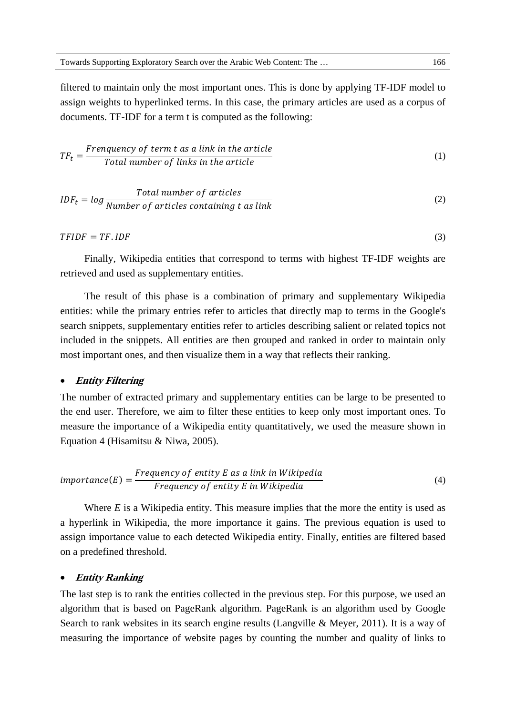filtered to maintain only the most important ones. This is done by applying TF-IDF model to assign weights to hyperlinked terms. In this case, the primary articles are used as a corpus of documents. TF-IDF for a term t is computed as the following:

$$
TF_t = \frac{Frequency\ of\ term\ t\ as\ a\ link\ in\ the\ article}{Total\ number\ of\ links\ in\ the\ article}
$$
 (1)

$$
IDF_t = log \frac{Total \ number \ of \ articles}{Number \ of \ articles \ containing \ t \ as \ link}
$$
\n(2)

 $TFIDF = TF.IDF$  (3)

Finally, Wikipedia entities that correspond to terms with highest TF-IDF weights are retrieved and used as supplementary entities.

The result of this phase is a combination of primary and supplementary Wikipedia entities: while the primary entries refer to articles that directly map to terms in the Google's search snippets, supplementary entities refer to articles describing salient or related topics not included in the snippets. All entities are then grouped and ranked in order to maintain only most important ones, and then visualize them in a way that reflects their ranking.

#### **Entity Filtering**

The number of extracted primary and supplementary entities can be large to be presented to the end user. Therefore, we aim to filter these entities to keep only most important ones. To measure the importance of a Wikipedia entity quantitatively, we used the measure shown in Equation 4 (Hisamitsu & Niwa, 2005).

$$
importance(E) = \frac{Frequency\ of\ entity\ E\ as\ a\ link\ in\ Wikipedia}{Frequency\ of\ entity\ E\ in\ Wikipedia}
$$
\n(4)

Where *E* is a Wikipedia entity. This measure implies that the more the entity is used as a hyperlink in Wikipedia, the more importance it gains. The previous equation is used to assign importance value to each detected Wikipedia entity. Finally, entities are filtered based on a predefined threshold.

#### **Entity Ranking**

The last step is to rank the entities collected in the previous step. For this purpose, we used an algorithm that is based on PageRank algorithm. PageRank is an algorithm used by Google Search to rank websites in its search engine results (Langville & Meyer, 2011). It is a way of measuring the importance of website pages by counting the number and quality of links to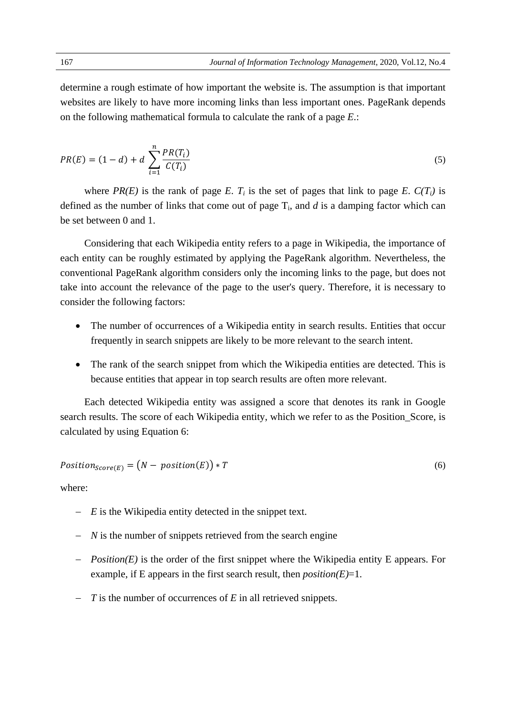determine a rough estimate of how important the website is. The assumption is that important websites are likely to have more incoming links than less important ones. PageRank depends on the following mathematical formula to calculate the rank of a page *E*.:

$$
PR(E) = (1 - d) + d \sum_{i=1}^{n} \frac{PR(T_i)}{C(T_i)}
$$
\n(5)

where  $PR(E)$  is the rank of page *E*.  $T_i$  is the set of pages that link to page *E*.  $C(T_i)$  is defined as the number of links that come out of page  $T_i$ , and  $d$  is a damping factor which can be set between 0 and 1.

Considering that each Wikipedia entity refers to a page in Wikipedia, the importance of each entity can be roughly estimated by applying the PageRank algorithm. Nevertheless, the conventional PageRank algorithm considers only the incoming links to the page, but does not take into account the relevance of the page to the user's query. Therefore, it is necessary to consider the following factors:

- The number of occurrences of a Wikipedia entity in search results. Entities that occur frequently in search snippets are likely to be more relevant to the search intent.
- The rank of the search snippet from which the Wikipedia entities are detected. This is because entities that appear in top search results are often more relevant.

Each detected Wikipedia entity was assigned a score that denotes its rank in Google search results. The score of each Wikipedia entity, which we refer to as the Position Score, is calculated by using Equation 6:

$$
Position_{Score(E)} = (N - position(E)) * T
$$
\n(6)

where:

- *E* is the Wikipedia entity detected in the snippet text.
- *N* is the number of snippets retrieved from the search engine
- *Position(E)* is the order of the first snippet where the Wikipedia entity E appears. For example, if E appears in the first search result, then *position(E)*=1.
- *T* is the number of occurrences of *E* in all retrieved snippets.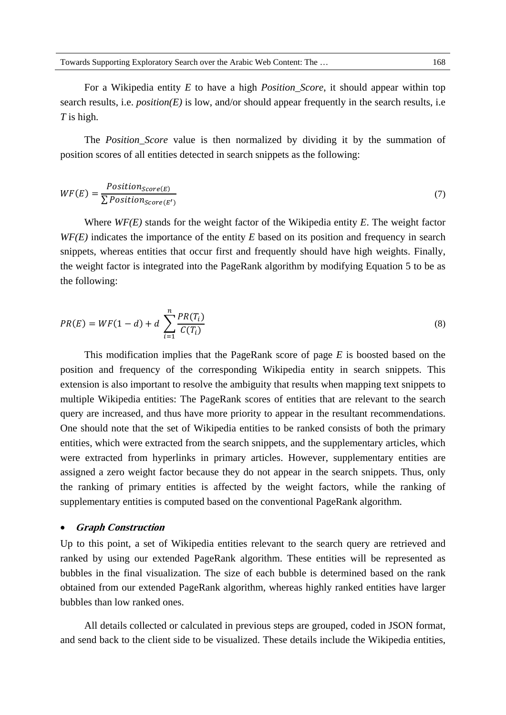For a Wikipedia entity *E* to have a high *Position\_Score*, it should appear within top search results, i.e. *position(E)* is low, and/or should appear frequently in the search results, i.e *T* is high.

The *Position\_Score* value is then normalized by dividing it by the summation of position scores of all entities detected in search snippets as the following:

$$
WF(E) = \frac{Position_{Score(E)}}{\sum Position_{Score(E')}} \tag{7}
$$

Where *WF(E)* stands for the weight factor of the Wikipedia entity *E*. The weight factor *WF(E)* indicates the importance of the entity *E* based on its position and frequency in search snippets, whereas entities that occur first and frequently should have high weights. Finally, the weight factor is integrated into the PageRank algorithm by modifying Equation 5 to be as the following:

$$
PR(E) = WF(1 - d) + d \sum_{i=1}^{n} \frac{PR(T_i)}{C(T_i)}
$$
\n(8)

This modification implies that the PageRank score of page *E* is boosted based on the position and frequency of the corresponding Wikipedia entity in search snippets. This extension is also important to resolve the ambiguity that results when mapping text snippets to multiple Wikipedia entities: The PageRank scores of entities that are relevant to the search query are increased, and thus have more priority to appear in the resultant recommendations. One should note that the set of Wikipedia entities to be ranked consists of both the primary entities, which were extracted from the search snippets, and the supplementary articles, which were extracted from hyperlinks in primary articles. However, supplementary entities are assigned a zero weight factor because they do not appear in the search snippets. Thus, only the ranking of primary entities is affected by the weight factors, while the ranking of supplementary entities is computed based on the conventional PageRank algorithm.

#### **Graph Construction**

Up to this point, a set of Wikipedia entities relevant to the search query are retrieved and ranked by using our extended PageRank algorithm. These entities will be represented as bubbles in the final visualization. The size of each bubble is determined based on the rank obtained from our extended PageRank algorithm, whereas highly ranked entities have larger bubbles than low ranked ones.

All details collected or calculated in previous steps are grouped, coded in JSON format, and send back to the client side to be visualized. These details include the Wikipedia entities,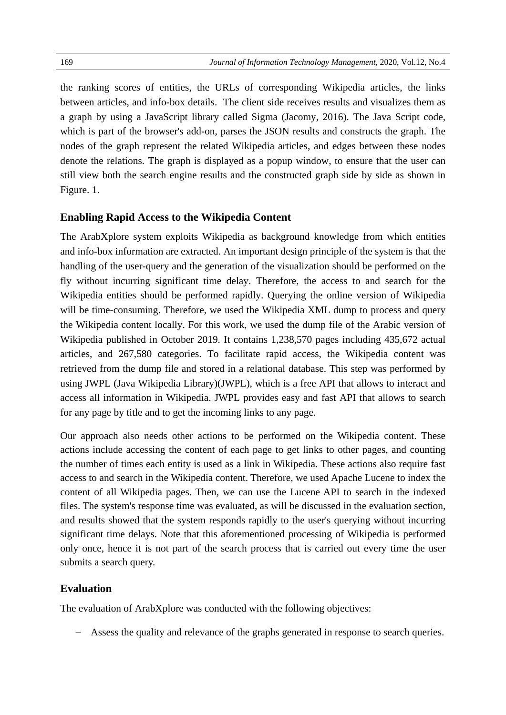the ranking scores of entities, the URLs of corresponding Wikipedia articles, the links between articles, and info-box details. The client side receives results and visualizes them as a graph by using a JavaScript library called Sigma (Jacomy, 2016). The Java Script code, which is part of the browser's add-on, parses the JSON results and constructs the graph. The nodes of the graph represent the related Wikipedia articles, and edges between these nodes denote the relations. The graph is displayed as a popup window, to ensure that the user can still view both the search engine results and the constructed graph side by side as shown in Figure. 1.

#### **Enabling Rapid Access to the Wikipedia Content**

The ArabXplore system exploits Wikipedia as background knowledge from which entities and info-box information are extracted. An important design principle of the system is that the handling of the user-query and the generation of the visualization should be performed on the fly without incurring significant time delay. Therefore, the access to and search for the Wikipedia entities should be performed rapidly. Querying the online version of Wikipedia will be time-consuming. Therefore, we used the Wikipedia XML dump to process and query the Wikipedia content locally. For this work, we used the dump file of the Arabic version of Wikipedia published in October 2019. It contains 1,238,570 pages including 435,672 actual articles, and 267,580 categories. To facilitate rapid access, the Wikipedia content was retrieved from the dump file and stored in a relational database. This step was performed by using JWPL (Java Wikipedia Library)(JWPL), which is a free API that allows to interact and access all information in Wikipedia. JWPL provides easy and fast API that allows to search for any page by title and to get the incoming links to any page.

Our approach also needs other actions to be performed on the Wikipedia content. These actions include accessing the content of each page to get links to other pages, and counting the number of times each entity is used as a link in Wikipedia. These actions also require fast access to and search in the Wikipedia content. Therefore, we used Apache Lucene to index the content of all Wikipedia pages. Then, we can use the Lucene API to search in the indexed files. The system's response time was evaluated, as will be discussed in the evaluation section, and results showed that the system responds rapidly to the user's querying without incurring significant time delays. Note that this aforementioned processing of Wikipedia is performed only once, hence it is not part of the search process that is carried out every time the user submits a search query.

## **Evaluation**

The evaluation of ArabXplore was conducted with the following objectives:

Assess the quality and relevance of the graphs generated in response to search queries.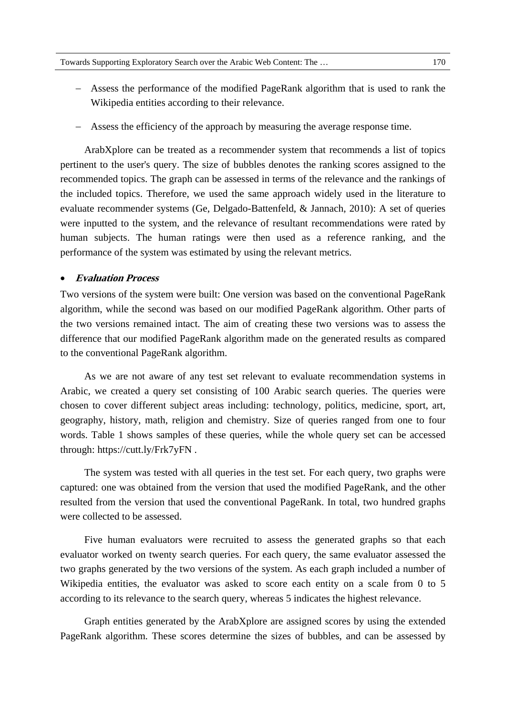- Assess the performance of the modified PageRank algorithm that is used to rank the Wikipedia entities according to their relevance.
- Assess the efficiency of the approach by measuring the average response time.

ArabXplore can be treated as a recommender system that recommends a list of topics pertinent to the user's query. The size of bubbles denotes the ranking scores assigned to the recommended topics. The graph can be assessed in terms of the relevance and the rankings of the included topics. Therefore, we used the same approach widely used in the literature to evaluate recommender systems (Ge, Delgado-Battenfeld, & Jannach, 2010): A set of queries were inputted to the system, and the relevance of resultant recommendations were rated by human subjects. The human ratings were then used as a reference ranking, and the performance of the system was estimated by using the relevant metrics.

#### **Evaluation Process**

Two versions of the system were built: One version was based on the conventional PageRank algorithm, while the second was based on our modified PageRank algorithm. Other parts of the two versions remained intact. The aim of creating these two versions was to assess the difference that our modified PageRank algorithm made on the generated results as compared to the conventional PageRank algorithm.

As we are not aware of any test set relevant to evaluate recommendation systems in Arabic, we created a query set consisting of 100 Arabic search queries. The queries were chosen to cover different subject areas including: technology, politics, medicine, sport, art, geography, history, math, religion and chemistry. Size of queries ranged from one to four words. Table 1 shows samples of these queries, while the whole query set can be accessed through: https://cutt.ly/Frk7yFN .

The system was tested with all queries in the test set. For each query, two graphs were captured: one was obtained from the version that used the modified PageRank, and the other resulted from the version that used the conventional PageRank. In total, two hundred graphs were collected to be assessed.

Five human evaluators were recruited to assess the generated graphs so that each evaluator worked on twenty search queries. For each query, the same evaluator assessed the two graphs generated by the two versions of the system. As each graph included a number of Wikipedia entities, the evaluator was asked to score each entity on a scale from 0 to 5 according to its relevance to the search query, whereas 5 indicates the highest relevance.

Graph entities generated by the ArabXplore are assigned scores by using the extended PageRank algorithm. These scores determine the sizes of bubbles, and can be assessed by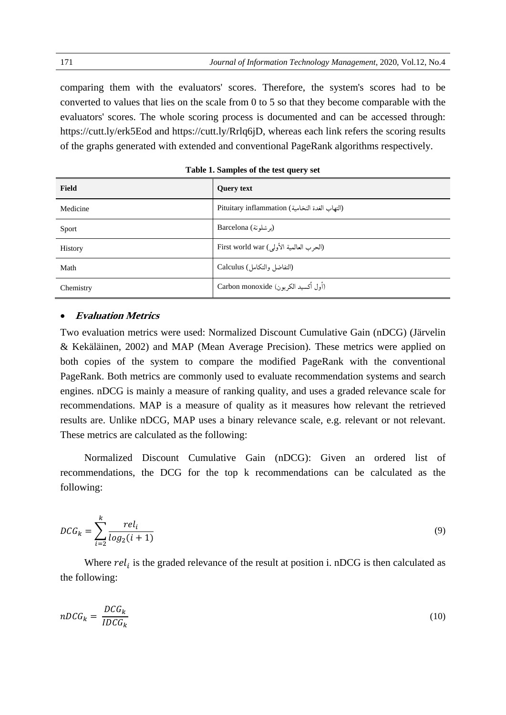comparing them with the evaluators' scores. Therefore, the system's scores had to be converted to values that lies on the scale from 0 to 5 so that they become comparable with the evaluators' scores. The whole scoring process is documented and can be accessed through: https://cutt.ly/erk5Eod and https://cutt.ly/Rrlq6jD, whereas each link refers the scoring results of the graphs generated with extended and conventional PageRank algorithms respectively.

| <b>Field</b> | <b>Query text</b>                              |
|--------------|------------------------------------------------|
| Medicine     | Pituitary inflammation (التهاب الغدة النخامية) |
| Sport        | (بر شلونة) Barcelona                           |
| History      | First world war (الحرب العالمية الأولى)        |
| Math         | (التفاضل والتكامل) Calculus                    |
| Chemistry    | (أول أكسيد الكربون) Carbon monoxide            |

**Table 1. Samples of the test query set** 

## **Evaluation Metrics**

Two evaluation metrics were used: Normalized Discount Cumulative Gain (nDCG) (Järvelin & Kekäläinen, 2002) and MAP (Mean Average Precision). These metrics were applied on both copies of the system to compare the modified PageRank with the conventional PageRank. Both metrics are commonly used to evaluate recommendation systems and search engines. nDCG is mainly a measure of ranking quality, and uses a graded relevance scale for recommendations. MAP is a measure of quality as it measures how relevant the retrieved results are. Unlike nDCG, MAP uses a binary relevance scale, e.g. relevant or not relevant. These metrics are calculated as the following:

Normalized Discount Cumulative Gain (nDCG): Given an ordered list of recommendations, the DCG for the top k recommendations can be calculated as the following:

$$
DCG_k = \sum_{i=2}^{k} \frac{rel_i}{log_2(i+1)}
$$
\n
$$
(9)
$$

Where  $rel_i$  is the graded relevance of the result at position i. nDCG is then calculated as the following:

$$
nDCG_k = \frac{DCG_k}{IDCG_k} \tag{10}
$$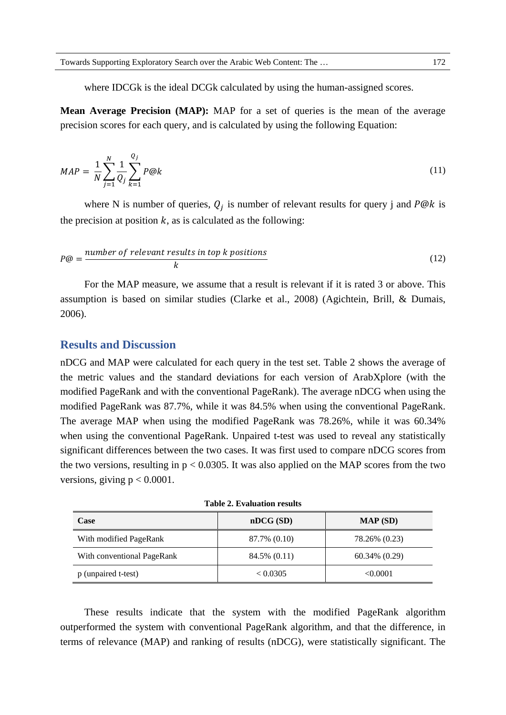where IDCGk is the ideal DCGk calculated by using the human-assigned scores.

**Mean Average Precision (MAP):** MAP for a set of queries is the mean of the average precision scores for each query, and is calculated by using the following Equation:

$$
MAP = \frac{1}{N} \sum_{j=1}^{N} \frac{1}{Q_j} \sum_{k=1}^{Q_j} P@k
$$
 (11)

where N is number of queries,  $Q_i$  is number of relevant results for query j and P@k is the precision at position  $k$ , as is calculated as the following:

$$
P@ = \frac{number\ of\ relevant\ results\ in\ top\ k\ positions}{k} \tag{12}
$$

For the MAP measure, we assume that a result is relevant if it is rated 3 or above. This assumption is based on similar studies (Clarke et al., 2008) (Agichtein, Brill, & Dumais, 2006).

## **Results and Discussion**

nDCG and MAP were calculated for each query in the test set. Table 2 shows the average of the metric values and the standard deviations for each version of ArabXplore (with the modified PageRank and with the conventional PageRank). The average nDCG when using the modified PageRank was 87.7%, while it was 84.5% when using the conventional PageRank. The average MAP when using the modified PageRank was 78.26%, while it was 60.34% when using the conventional PageRank. Unpaired t-test was used to reveal any statistically significant differences between the two cases. It was first used to compare nDCG scores from the two versions, resulting in  $p < 0.0305$ . It was also applied on the MAP scores from the two versions, giving  $p < 0.0001$ .

| Case                       | nDCG(SD)     | MAP(SD)            |
|----------------------------|--------------|--------------------|
| With modified PageRank     | 87.7% (0.10) | 78.26% (0.23)      |
| With conventional PageRank | 84.5% (0.11) | $60.34\%$ $(0.29)$ |
| p (unpaired t-test)        | < 0.0305     | < 0.0001           |

**Table 2. Evaluation results** 

These results indicate that the system with the modified PageRank algorithm outperformed the system with conventional PageRank algorithm, and that the difference, in terms of relevance (MAP) and ranking of results (nDCG), were statistically significant. The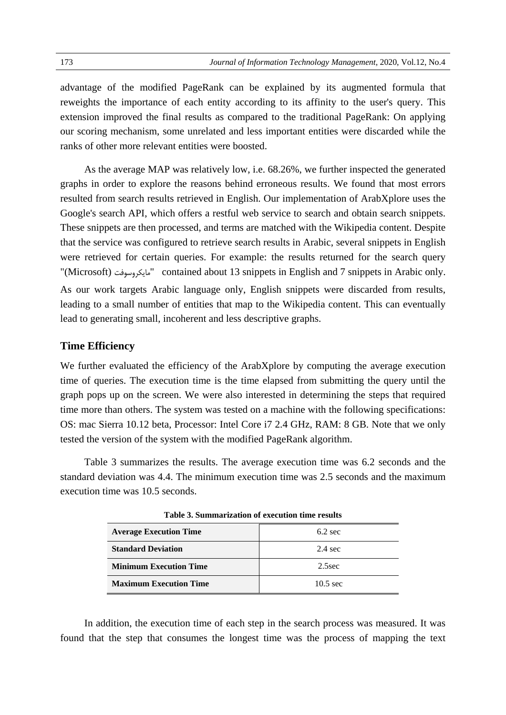advantage of the modified PageRank can be explained by its augmented formula that reweights the importance of each entity according to its affinity to the user's query. This extension improved the final results as compared to the traditional PageRank: On applying our scoring mechanism, some unrelated and less important entities were discarded while the ranks of other more relevant entities were boosted.

As the average MAP was relatively low, i.e. 68.26%, we further inspected the generated graphs in order to explore the reasons behind erroneous results. We found that most errors resulted from search results retrieved in English. Our implementation of ArabXplore uses the Google's search API, which offers a restful web service to search and obtain search snippets. These snippets are then processed, and terms are matched with the Wikipedia content. Despite that the service was configured to retrieve search results in Arabic, several snippets in English were retrieved for certain queries. For example: the results returned for the search query "(Microsoft) مايكروسوفت "contained about 13 snippets in English and 7 snippets in Arabic only. As our work targets Arabic language only, English snippets were discarded from results, leading to a small number of entities that map to the Wikipedia content. This can eventually lead to generating small, incoherent and less descriptive graphs.

#### **Time Efficiency**

We further evaluated the efficiency of the ArabXplore by computing the average execution time of queries. The execution time is the time elapsed from submitting the query until the graph pops up on the screen. We were also interested in determining the steps that required time more than others. The system was tested on a machine with the following specifications: OS: mac Sierra 10.12 beta, Processor: Intel Core i7 2.4 GHz, RAM: 8 GB. Note that we only tested the version of the system with the modified PageRank algorithm.

Table 3 summarizes the results. The average execution time was 6.2 seconds and the standard deviation was 4.4. The minimum execution time was 2.5 seconds and the maximum execution time was 10.5 seconds.

| <b>Average Execution Time</b> | $6.2 \text{ sec}$  |  |
|-------------------------------|--------------------|--|
| <b>Standard Deviation</b>     | $2.4 \text{ sec}$  |  |
| <b>Minimum Execution Time</b> | $2.5$ sec          |  |
| <b>Maximum Execution Time</b> | $10.5 \text{ sec}$ |  |

**Table 3. Summarization of execution time results** 

In addition, the execution time of each step in the search process was measured. It was found that the step that consumes the longest time was the process of mapping the text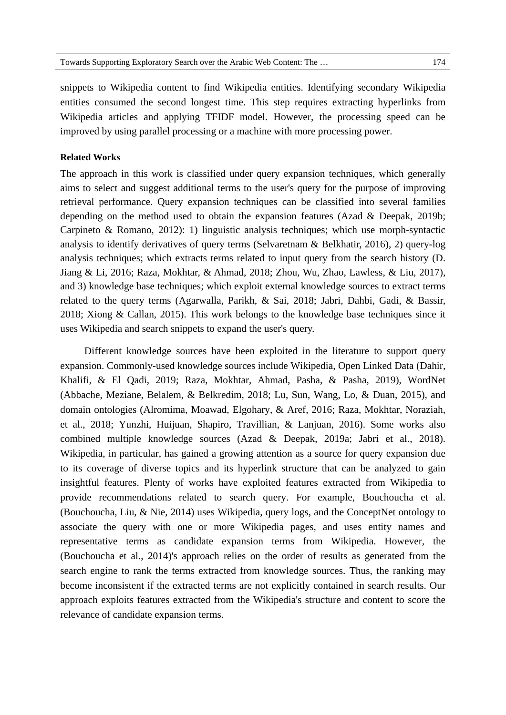snippets to Wikipedia content to find Wikipedia entities. Identifying secondary Wikipedia entities consumed the second longest time. This step requires extracting hyperlinks from Wikipedia articles and applying TFIDF model. However, the processing speed can be improved by using parallel processing or a machine with more processing power.

#### **Related Works**

The approach in this work is classified under query expansion techniques, which generally aims to select and suggest additional terms to the user's query for the purpose of improving retrieval performance. Query expansion techniques can be classified into several families depending on the method used to obtain the expansion features (Azad & Deepak, 2019b; Carpineto & Romano, 2012): 1) linguistic analysis techniques; which use morph-syntactic analysis to identify derivatives of query terms (Selvaretnam & Belkhatir, 2016), 2) query-log analysis techniques; which extracts terms related to input query from the search history (D. Jiang & Li, 2016; Raza, Mokhtar, & Ahmad, 2018; Zhou, Wu, Zhao, Lawless, & Liu, 2017), and 3) knowledge base techniques; which exploit external knowledge sources to extract terms related to the query terms (Agarwalla, Parikh, & Sai, 2018; Jabri, Dahbi, Gadi, & Bassir, 2018; Xiong & Callan, 2015). This work belongs to the knowledge base techniques since it uses Wikipedia and search snippets to expand the user's query.

Different knowledge sources have been exploited in the literature to support query expansion. Commonly-used knowledge sources include Wikipedia, Open Linked Data (Dahir, Khalifi, & El Qadi, 2019; Raza, Mokhtar, Ahmad, Pasha, & Pasha, 2019), WordNet (Abbache, Meziane, Belalem, & Belkredim, 2018; Lu, Sun, Wang, Lo, & Duan, 2015), and domain ontologies (Alromima, Moawad, Elgohary, & Aref, 2016; Raza, Mokhtar, Noraziah, et al., 2018; Yunzhi, Huijuan, Shapiro, Travillian, & Lanjuan, 2016). Some works also combined multiple knowledge sources (Azad & Deepak, 2019a; Jabri et al., 2018). Wikipedia, in particular, has gained a growing attention as a source for query expansion due to its coverage of diverse topics and its hyperlink structure that can be analyzed to gain insightful features. Plenty of works have exploited features extracted from Wikipedia to provide recommendations related to search query. For example, Bouchoucha et al. (Bouchoucha, Liu, & Nie, 2014) uses Wikipedia, query logs, and the ConceptNet ontology to associate the query with one or more Wikipedia pages, and uses entity names and representative terms as candidate expansion terms from Wikipedia. However, the (Bouchoucha et al., 2014)'s approach relies on the order of results as generated from the search engine to rank the terms extracted from knowledge sources. Thus, the ranking may become inconsistent if the extracted terms are not explicitly contained in search results. Our approach exploits features extracted from the Wikipedia's structure and content to score the relevance of candidate expansion terms.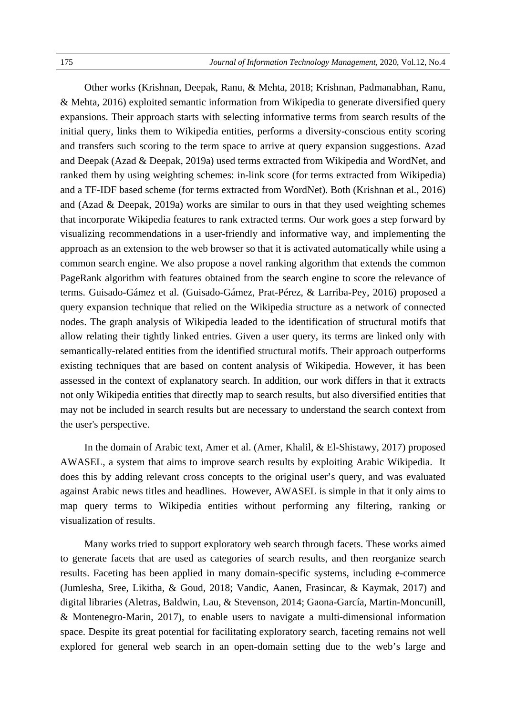Other works (Krishnan, Deepak, Ranu, & Mehta, 2018; Krishnan, Padmanabhan, Ranu, & Mehta, 2016) exploited semantic information from Wikipedia to generate diversified query expansions. Their approach starts with selecting informative terms from search results of the initial query, links them to Wikipedia entities, performs a diversity-conscious entity scoring and transfers such scoring to the term space to arrive at query expansion suggestions. Azad and Deepak (Azad & Deepak, 2019a) used terms extracted from Wikipedia and WordNet, and ranked them by using weighting schemes: in-link score (for terms extracted from Wikipedia) and a TF-IDF based scheme (for terms extracted from WordNet). Both (Krishnan et al., 2016) and (Azad & Deepak, 2019a) works are similar to ours in that they used weighting schemes that incorporate Wikipedia features to rank extracted terms. Our work goes a step forward by visualizing recommendations in a user-friendly and informative way, and implementing the approach as an extension to the web browser so that it is activated automatically while using a common search engine. We also propose a novel ranking algorithm that extends the common PageRank algorithm with features obtained from the search engine to score the relevance of terms. Guisado-Gámez et al. (Guisado-Gámez, Prat-Pérez, & Larriba-Pey, 2016) proposed a query expansion technique that relied on the Wikipedia structure as a network of connected nodes. The graph analysis of Wikipedia leaded to the identification of structural motifs that allow relating their tightly linked entries. Given a user query, its terms are linked only with semantically-related entities from the identified structural motifs. Their approach outperforms existing techniques that are based on content analysis of Wikipedia. However, it has been assessed in the context of explanatory search. In addition, our work differs in that it extracts not only Wikipedia entities that directly map to search results, but also diversified entities that may not be included in search results but are necessary to understand the search context from the user's perspective.

In the domain of Arabic text, Amer et al. (Amer, Khalil, & El-Shistawy, 2017) proposed AWASEL, a system that aims to improve search results by exploiting Arabic Wikipedia. It does this by adding relevant cross concepts to the original user's query, and was evaluated against Arabic news titles and headlines. However, AWASEL is simple in that it only aims to map query terms to Wikipedia entities without performing any filtering, ranking or visualization of results.

Many works tried to support exploratory web search through facets. These works aimed to generate facets that are used as categories of search results, and then reorganize search results. Faceting has been applied in many domain-specific systems, including e-commerce (Jumlesha, Sree, Likitha, & Goud, 2018; Vandic, Aanen, Frasincar, & Kaymak, 2017) and digital libraries (Aletras, Baldwin, Lau, & Stevenson, 2014; Gaona-García, Martin-Moncunill, & Montenegro-Marin, 2017), to enable users to navigate a multi-dimensional information space. Despite its great potential for facilitating exploratory search, faceting remains not well explored for general web search in an open-domain setting due to the web's large and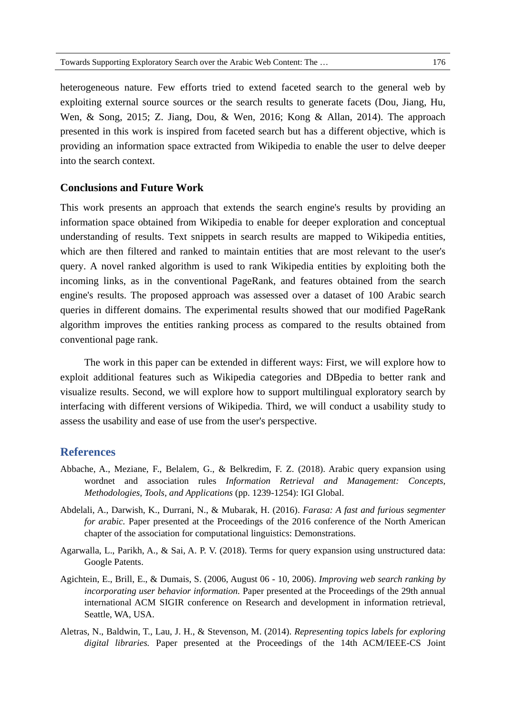heterogeneous nature. Few efforts tried to extend faceted search to the general web by exploiting external source sources or the search results to generate facets (Dou, Jiang, Hu, Wen, & Song, 2015; Z. Jiang, Dou, & Wen, 2016; Kong & Allan, 2014). The approach presented in this work is inspired from faceted search but has a different objective, which is providing an information space extracted from Wikipedia to enable the user to delve deeper into the search context.

## **Conclusions and Future Work**

This work presents an approach that extends the search engine's results by providing an information space obtained from Wikipedia to enable for deeper exploration and conceptual understanding of results. Text snippets in search results are mapped to Wikipedia entities, which are then filtered and ranked to maintain entities that are most relevant to the user's query. A novel ranked algorithm is used to rank Wikipedia entities by exploiting both the incoming links, as in the conventional PageRank, and features obtained from the search engine's results. The proposed approach was assessed over a dataset of 100 Arabic search queries in different domains. The experimental results showed that our modified PageRank algorithm improves the entities ranking process as compared to the results obtained from conventional page rank.

The work in this paper can be extended in different ways: First, we will explore how to exploit additional features such as Wikipedia categories and DBpedia to better rank and visualize results. Second, we will explore how to support multilingual exploratory search by interfacing with different versions of Wikipedia. Third, we will conduct a usability study to assess the usability and ease of use from the user's perspective.

## **References**

- Abbache, A., Meziane, F., Belalem, G., & Belkredim, F. Z. (2018). Arabic query expansion using wordnet and association rules *Information Retrieval and Management: Concepts, Methodologies, Tools, and Applications* (pp. 1239-1254): IGI Global.
- Abdelali, A., Darwish, K., Durrani, N., & Mubarak, H. (2016). *Farasa: A fast and furious segmenter for arabic.* Paper presented at the Proceedings of the 2016 conference of the North American chapter of the association for computational linguistics: Demonstrations.
- Agarwalla, L., Parikh, A., & Sai, A. P. V. (2018). Terms for query expansion using unstructured data: Google Patents.
- Agichtein, E., Brill, E., & Dumais, S. (2006, August 06 10, 2006). *Improving web search ranking by incorporating user behavior information.* Paper presented at the Proceedings of the 29th annual international ACM SIGIR conference on Research and development in information retrieval, Seattle, WA, USA.
- Aletras, N., Baldwin, T., Lau, J. H., & Stevenson, M. (2014). *Representing topics labels for exploring digital libraries.* Paper presented at the Proceedings of the 14th ACM/IEEE-CS Joint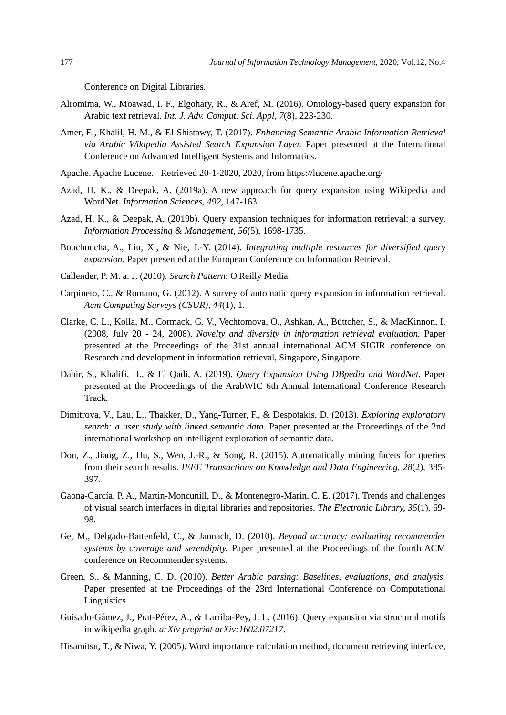Conference on Digital Libraries.

- Alromima, W., Moawad, I. F., Elgohary, R., & Aref, M. (2016). Ontology-based query expansion for Arabic text retrieval. *Int. J. Adv. Comput. Sci. Appl, 7*(8), 223-230.
- Amer, E., Khalil, H. M., & El-Shistawy, T. (2017). *Enhancing Semantic Arabic Information Retrieval via Arabic Wikipedia Assisted Search Expansion Layer.* Paper presented at the International Conference on Advanced Intelligent Systems and Informatics.
- Apache. Apache Lucene. Retrieved 20-1-2020, 2020, from https://lucene.apache.org/
- Azad, H. K., & Deepak, A. (2019a). A new approach for query expansion using Wikipedia and WordNet. *Information Sciences, 492*, 147-163.
- Azad, H. K., & Deepak, A. (2019b). Query expansion techniques for information retrieval: a survey. *Information Processing & Management, 56*(5), 1698-1735.
- Bouchoucha, A., Liu, X., & Nie, J.-Y. (2014). *Integrating multiple resources for diversified query expansion.* Paper presented at the European Conference on Information Retrieval.
- Callender, P. M. a. J. (2010). *Search Pattern*: O'Reilly Media.
- Carpineto, C., & Romano, G. (2012). A survey of automatic query expansion in information retrieval. *Acm Computing Surveys (CSUR), 44*(1), 1.
- Clarke, C. L., Kolla, M., Cormack, G. V., Vechtomova, O., Ashkan, A., Büttcher, S., & MacKinnon, I. (2008, July 20 - 24, 2008). *Novelty and diversity in information retrieval evaluation.* Paper presented at the Proceedings of the 31st annual international ACM SIGIR conference on Research and development in information retrieval, Singapore, Singapore.
- Dahir, S., Khalifi, H., & El Qadi, A. (2019). *Query Expansion Using DBpedia and WordNet.* Paper presented at the Proceedings of the ArabWIC 6th Annual International Conference Research Track.
- Dimitrova, V., Lau, L., Thakker, D., Yang-Turner, F., & Despotakis, D. (2013). *Exploring exploratory search: a user study with linked semantic data.* Paper presented at the Proceedings of the 2nd international workshop on intelligent exploration of semantic data.
- Dou, Z., Jiang, Z., Hu, S., Wen, J.-R., & Song, R. (2015). Automatically mining facets for queries from their search results. *IEEE Transactions on Knowledge and Data Engineering, 28*(2), 385- 397.
- Gaona-García, P. A., Martin-Moncunill, D., & Montenegro-Marin, C. E. (2017). Trends and challenges of visual search interfaces in digital libraries and repositories. *The Electronic Library, 35*(1), 69- 98.
- Ge, M., Delgado-Battenfeld, C., & Jannach, D. (2010). *Beyond accuracy: evaluating recommender systems by coverage and serendipity.* Paper presented at the Proceedings of the fourth ACM conference on Recommender systems.
- Green, S., & Manning, C. D. (2010). *Better Arabic parsing: Baselines, evaluations, and analysis.* Paper presented at the Proceedings of the 23rd International Conference on Computational Linguistics.
- Guisado-Gámez, J., Prat-Pérez, A., & Larriba-Pey, J. L. (2016). Query expansion via structural motifs in wikipedia graph. *arXiv preprint arXiv:1602.07217*.
- Hisamitsu, T., & Niwa, Y. (2005). Word importance calculation method, document retrieving interface,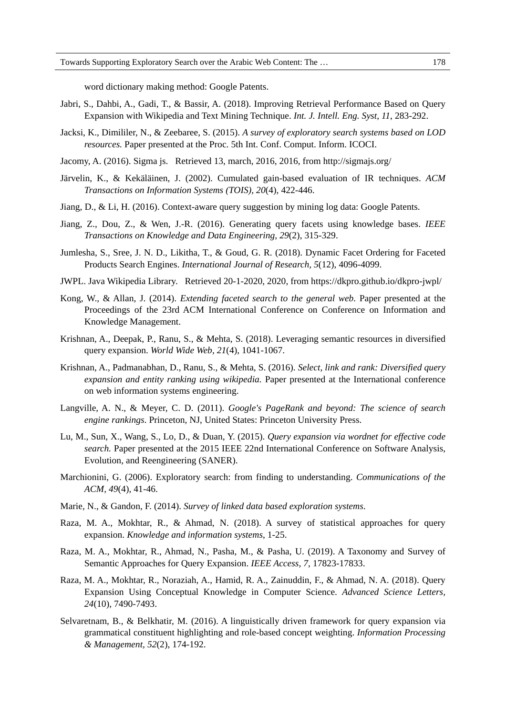word dictionary making method: Google Patents.

- Jabri, S., Dahbi, A., Gadi, T., & Bassir, A. (2018). Improving Retrieval Performance Based on Query Expansion with Wikipedia and Text Mining Technique. *Int. J. Intell. Eng. Syst, 11*, 283-292.
- Jacksi, K., Dimililer, N., & Zeebaree, S. (2015). *A survey of exploratory search systems based on LOD resources.* Paper presented at the Proc. 5th Int. Conf. Comput. Inform. ICOCI.
- Jacomy, A. (2016). Sigma js. Retrieved 13, march, 2016, 2016, from http://sigmajs.org/
- Järvelin, K., & Kekäläinen, J. (2002). Cumulated gain-based evaluation of IR techniques. *ACM Transactions on Information Systems (TOIS), 20*(4), 422-446.
- Jiang, D., & Li, H. (2016). Context-aware query suggestion by mining log data: Google Patents.
- Jiang, Z., Dou, Z., & Wen, J.-R. (2016). Generating query facets using knowledge bases. *IEEE Transactions on Knowledge and Data Engineering, 29*(2), 315-329.
- Jumlesha, S., Sree, J. N. D., Likitha, T., & Goud, G. R. (2018). Dynamic Facet Ordering for Faceted Products Search Engines. *International Journal of Research, 5*(12), 4096-4099.
- JWPL. Java Wikipedia Library. Retrieved 20-1-2020, 2020, from https://dkpro.github.io/dkpro-jwpl/
- Kong, W., & Allan, J. (2014). *Extending faceted search to the general web.* Paper presented at the Proceedings of the 23rd ACM International Conference on Conference on Information and Knowledge Management.
- Krishnan, A., Deepak, P., Ranu, S., & Mehta, S. (2018). Leveraging semantic resources in diversified query expansion. *World Wide Web, 21*(4), 1041-1067.
- Krishnan, A., Padmanabhan, D., Ranu, S., & Mehta, S. (2016). *Select, link and rank: Diversified query expansion and entity ranking using wikipedia.* Paper presented at the International conference on web information systems engineering.
- Langville, A. N., & Meyer, C. D. (2011). *Google's PageRank and beyond: The science of search engine rankings*. Princeton, NJ, United States: Princeton University Press.
- Lu, M., Sun, X., Wang, S., Lo, D., & Duan, Y. (2015). *Query expansion via wordnet for effective code search.* Paper presented at the 2015 IEEE 22nd International Conference on Software Analysis, Evolution, and Reengineering (SANER).
- Marchionini, G. (2006). Exploratory search: from finding to understanding. *Communications of the ACM, 49*(4), 41-46.
- Marie, N., & Gandon, F. (2014). *Survey of linked data based exploration systems*.
- Raza, M. A., Mokhtar, R., & Ahmad, N. (2018). A survey of statistical approaches for query expansion. *Knowledge and information systems*, 1-25.
- Raza, M. A., Mokhtar, R., Ahmad, N., Pasha, M., & Pasha, U. (2019). A Taxonomy and Survey of Semantic Approaches for Query Expansion. *IEEE Access, 7*, 17823-17833.
- Raza, M. A., Mokhtar, R., Noraziah, A., Hamid, R. A., Zainuddin, F., & Ahmad, N. A. (2018). Query Expansion Using Conceptual Knowledge in Computer Science. *Advanced Science Letters, 24*(10), 7490-7493.
- Selvaretnam, B., & Belkhatir, M. (2016). A linguistically driven framework for query expansion via grammatical constituent highlighting and role-based concept weighting. *Information Processing & Management, 52*(2), 174-192.